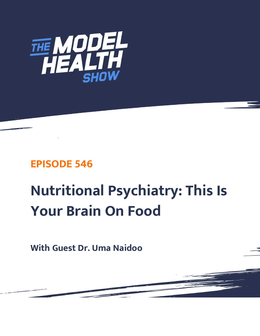

# **EPISODE 546**

# **Nutritional Psychiatry: This Is Your Brain On Food**

**With Guest Dr. Uma Naidoo**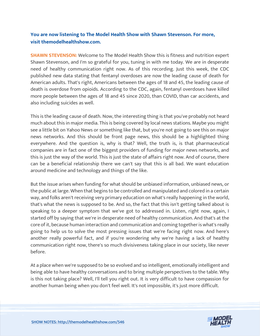# **You are now listening to The Model Health Show with Shawn Stevenson. For more, visit themodelhealthshow.com.**

**SHAWN STEVENSON:** Welcome to The Model Health Show this is fitness and nutrition expert Shawn Stevenson, and I'm so grateful for you, tuning in with me today. We are in desperate need of healthy communication right now. As of this recording. Just this week, the CDC published new data stating that fentanyl overdoses are now the leading cause of death for American adults. That's right, Americans between the ages of 18 and 45, the leading cause of death is overdose from opioids. According to the CDC, again, fentanyl overdoses have killed more people between the ages of 18 and 45 since 2020, than COVID, than car accidents, and also including suicides as well.

This is the leading cause of death. Now, the interesting thing is that you've probably not heard much about this in major media. This is being covered by local news stations. Maybe you might see a little bit on Yahoo News or something like that, but you're not going to see this on major news networks. And this should be front page news, this should be a highlighted thing everywhere. And the question is, why is that? Well, the truth is, is that pharmaceutical companies are in fact one of the biggest providers of funding for major news networks, and this is just the way of the world. This is just the state of affairs right now. And of course, there can be a beneficial relationship there we can't say that this is all bad. We want education around medicine and technology and things of the like.

But the issue arises when funding for what should be unbiased information, unbiased news, or the public at large. When that begins to be controlled and manipulated and colored in a certain way, and folks aren't receiving very primary education on what's really happening in the world, that's what the news is supposed to be. And so, the fact that this isn't getting talked about is speaking to a deeper symptom that we've got to addressed in. Listen, right now, again, I started off by saying that we're in desperate need of healthy communication. And that's at the core of it, because human interaction and communication and coming together is what's really going to help us to solve the most pressing issues that we're facing right now. And here's another really powerful fact, and if you're wondering why we're having a lack of healthy communication right now, there's so much divisiveness taking place in our society, like never before.

At a place when we're supposed to be so evolved and so intelligent, emotionally intelligent and being able to have healthy conversations and to bring multiple perspectives to the table. Why is this not taking place? Well, I'll tell you right out. It is very difficult to have compassion for another human being when you don't feel well. It's not impossible, it's just more difficult.

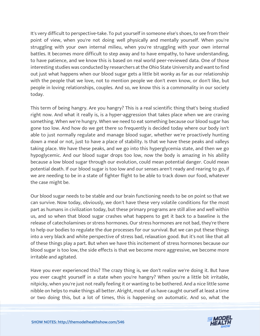It's very difficult to perspective-take. To put yourself in someone else's shoes, to see from their point of view, when you're not doing well physically and mentally yourself. When you're struggling with your own internal milieu, when you're struggling with your own internal battles. It becomes more difficult to step away and to have empathy, to have understanding, to have patience, and we know this is based on real world peer-reviewed data. One of those interesting studies was conducted by researchers at the Ohio State University and want to find out just what happens when our blood sugar gets a little bit wonky as far as our relationship with the people that we love, not to mention people we don't even know, or don't like, but people in loving relationships, couples. And so, we know this is a commonality in our society today.

This term of being hangry. Are you hangry? This is a real scientific thing that's being studied right now. And what it really is, is a hyper-aggression that takes place when we are craving something. When we're hungry. When we need to eat something because our blood sugar has gone too low. And how do we get there so frequently is decided today where our body isn't able to just normally regulate and manage blood sugar, whether we're proactively hunting down a meal or not, just to have a place of stability. Is that we have these peaks and valleys taking place. We have these peaks, and we go into this hyperglycemia state, and then we go hypoglycemic. And our blood sugar drops too low, now the body is amazing in his ability because a low blood sugar through our evolution, could mean potential danger. Could mean potential death. If our blood sugar is too low and our senses aren't ready and rearing to go, if we are needing to be in a state of fighter flight to be able to track down our food, whatever the case might be.

Our blood sugar needs to be stable and our brain functioning needs to be on point so that we can survive. Now today, obviously, we don't have these very volatile conditions for the most part as humans in civilization today, but these primary programs are still alive and well within us, and so when that blood sugar crashes what happens to get it back to a baseline is the release of catecholamines or stress hormones. Our stress hormones are not bad, they're there to help our bodies to regulate the due processes for our survival. But we can put these things into a very black and white perspective of stress bad, relaxation good. But it's not like that all of these things play a part. But when we have this incitement of stress hormones because our blood sugar is too low, the side effects is that we become more aggressive, we become more irritable and agitated.

Have you ever experienced this? The crazy thing is, we don't realize we're doing it. But have you ever caught yourself in a state when you're hangry? When you're a little bit irritable, nitpicky, when you're just not really feeling it or wanting to be bothered. And a nice little some nibble on helps to make things all better. Alright, most of us have caught ourself at least a time or two doing this, but a lot of times, this is happening on automatic. And so, what the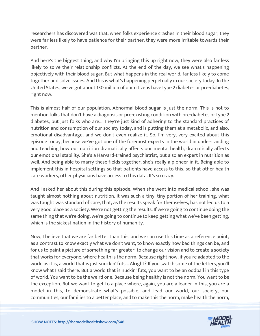researchers has discovered was that, when folks experience crashes in their blood sugar, they were far less likely to have patience for their partner, they were more irritable towards their partner.

And here's the biggest thing, and why I'm bringing this up right now, they were also far less likely to solve their relationship conflicts. At the end of the day, we see what's happening objectively with their blood sugar. But what happens in the real world, far less likely to come together and solve issues. And this is what's happening perpetually in our society today. In the United States, we've got about 130 million of our citizens have type 2 diabetes or pre-diabetes, right now.

This is almost half of our population. Abnormal blood sugar is just the norm. This is not to mention folks that don't have a diagnosis or pre-existing condition with pre-diabetes or type 2 diabetes, but just folks who are... They're just kind of adhering to the standard practices of nutrition and consumption of our society today, and is putting them at a metabolic, and also, emotional disadvantage, and we don't even realize it. So, I'm very, very excited about this episode today, because we've got one of the foremost experts in the world in understanding and teaching how our nutrition dramatically affects our mental health, dramatically affects our emotional stability. She's a Harvard-trained psychiatrist, but also an expert in nutrition as well. And being able to marry these fields together, she's really a pioneer in it. Being able to implement this in hospital settings so that patients have access to this, so that other health care workers, other physicians have access to this data. It's so crazy.

And I asked her about this during this episode. When she went into medical school, she was taught almost nothing about nutrition. It was such a tiny, tiny portion of her training, what was taught was standard of care, that, as the results speak for themselves, has not led us to a very good place as a society. We're not getting the results. If we're going to continue doing the same thing that we're doing, we're going to continue to keep getting what we've been getting, which is the sickest nation in the history of humanity.

Now, I believe that we are far better than this, and we can use this time as a reference point, as a contrast to know exactly what we don't want, to know exactly how bad things can be, and for us to paint a picture of something far greater, to change our vision and to create a society that works for everyone, where health is the norm. Because right now, if you're adapted to the world as it is, a world that is just snuckin' futs... Alright? If you switch some of the letters, you'll know what I said there. But a world that is nuckin' futs, you want to be an oddball in this type of world. You want to be the weird one. Because being healthy is not the norm. You want to be the exception. But we want to get to a place where, again, you are a leader in this, you are a model in this, to demonstrate what's possible, and lead our world, our society, our communities, our families to a better place, and to make this the norm, make health the norm,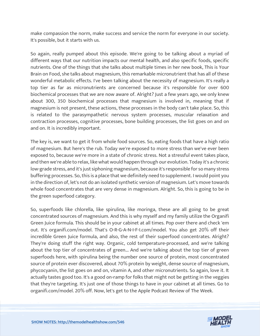make compassion the norm, make success and service the norm for everyone in our society. It's possible, but it starts with us.

So again, really pumped about this episode. We're going to be talking about a myriad of different ways that our nutrition impacts our mental health, and also specific foods, specific nutrients. One of the things that she talks about multiple times in her new book, This is Your Brain on Food, she talks about magnesium, this remarkable micronutrient that has all of these wonderful metabolic effects. I've been talking about the necessity of magnesium. It's really a top tier as far as micronutrients are concerned because it's responsible for over 600 biochemical processes that we are now aware of. Alright? Just a few years ago, we only knew about 300, 350 biochemical processes that magnesium is involved in, meaning that if magnesium is not present, these actions, these processes in the body can't take place. So, this is related to the parasympathetic nervous system processes, muscular relaxation and contraction processes, cognitive processes, bone building processes, the list goes on and on and on. It is incredibly important.

The key is, we want to get it from whole food sources. So, eating foods that have a high ratio of magnesium. But here's the rub. Today we're exposed to more stress than we've ever been exposed to, because we're more in a state of chronic stress. Not a stressful event takes place, and then we're able to relax, like what would happen through our evolution. Today it's a chronic low-grade stress, and it's just siphoning magnesium, because it's responsible for so many stress buffering processes. So, this is a place that we definitely need to supplement. I would point you in the direction of, let's not do an isolated synthetic version of magnesium. Let's move towards whole food concentrates that are very dense in magnesium. Alright. So, this is going to be in the green superfood category.

So, superfoods like chlorella, like spirulina, like moringa, these are all going to be great concentrated sources of magnesium. And this is why myself and my family utilize the Organifi Green Juice formula. This should be in your cabinet at all times. Pop over there and check 'em out. It's organifi.com/model. That's O-R-G-A-N-I-F-I.com/model. You also get 20% off their incredible Green Juice formula, and also, the rest of their superfood concentrates. Alright? They're doing stuff the right way. Organic, cold temperature-processed, and we're talking about the top tier of concentrates of green... And we're talking about the top tier of green superfoods here, with spirulina being the number one source of protein, most concentrated source of protein ever discovered, about 70% protein by weight, dense source of magnesium, phycocyanin, the list goes on and on, vitamin A, and other micronutrients. So again, love it. It actually tastes good too. It's a good on-ramp for folks that might not be getting in the veggies that they're targeting. It's just one of those things to have in your cabinet at all times. Go to organifi.com/model. 20% off. Now, let's get to the Apple Podcast Review of The Week.

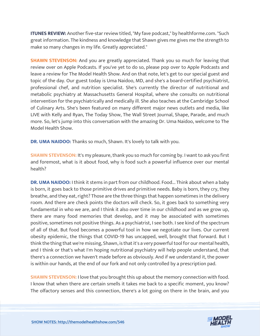**ITUNES REVIEW:** Another five-star review titled, "My fave podcast," by healthforme.com. "Such great information. The kindness and knowledge that Shawn gives me gives me the strength to make so many changes in my life. Greatly appreciated."

**SHAWN STEVENSON:** And you are greatly appreciated. Thank you so much for leaving that review over on Apple Podcasts. If you've yet to do so, please pop over to Apple Podcasts and leave a review for The Model Health Show. And on that note, let's get to our special guest and topic of the day. Our guest today is Uma Naidoo, MD, and she's a board-certified psychiatrist, professional chef, and nutrition specialist. She's currently the director of nutritional and metabolic psychiatry at Massachusetts General Hospital, where she consults on nutritional intervention for the psychiatrically and medically ill. She also teaches at the Cambridge School of Culinary Arts. She's been featured on many different major news outlets and media, like LIVE with Kelly and Ryan, The Today Show, The Wall Street Journal, Shape, Parade, and much more. So, let's jump into this conversation with the amazing Dr. Uma Naidoo, welcome to The Model Health Show.

**DR. UMA NAIDOO:** Thanks so much, Shawn. It's lovely to talk with you.

**SHAWN STEVENSON:** It's my pleasure, thank you so much for coming by. I want to ask you first and foremost, what is it about food, why is food such a powerful influence over our mental health?

**DR. UMA NAIDOO:** I think it stems in part from our childhood. Food... Think about when a baby is born, it goes back to those primitive drives and primitive needs. Baby is born, they cry, they breathe, and they eat, right? Those are the three things that happen sometimes in the delivery room. And there are check points the doctors will check. So, it goes back to something very fundamental in who we are, and I think it also over time in our childhood and as we grow up, there are many food memories that develop, and it may be associated with sometimes positive, sometimes not positive things. As a psychiatrist, I see both. I see kind of the spectrum of all of that. But food becomes a powerful tool in how we negotiate our lives. Our current obesity epidemic, the things that COVID-19 has uncapped, well, brought that forward. But I think the thing that we're missing, Shawn, is that it's a very powerful tool for our mental health, and I think or that's what I'm hoping nutritional psychiatry will help people understand, that there's a connection we haven't made before as obviously. And if we understand it, the power is within our hands, at the end of our fork and not only controlled by a prescription pad.

**SHAWN STEVENSON:** I love that you brought this up about the memory connection with food. I know that when there are certain smells it takes me back to a specific moment, you know? The olfactory senses and this connection, there's a lot going on there in the brain, and you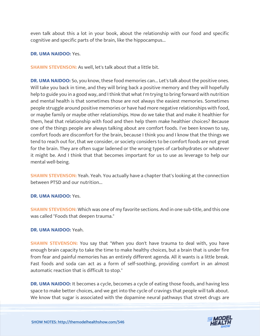even talk about this a lot in your book, about the relationship with our food and specific cognitive and specific parts of the brain, like the hippocampus...

#### **DR. UMA NAIDOO:** Yes.

**SHAWN STEVENSON:** As well, let's talk about that a little bit.

**DR. UMA NAIDOO:** So, you know, these food memories can... Let's talk about the positive ones. Will take you back in time, and they will bring back a positive memory and they will hopefully help to guide you in a good way, and I think that what I'm trying to bring forward with nutrition and mental health is that sometimes those are not always the easiest memories. Sometimes people struggle around positive memories or have had more negative relationships with food, or maybe family or maybe other relationships. How do we take that and make it healthier for them, heal that relationship with food and then help them make healthier choices? Because one of the things people are always talking about are comfort foods. I've been known to say, comfort foods are discomfort for the brain, because I think you and I know that the things we tend to reach out for, that we consider, or society considers to be comfort foods are not great for the brain. They are often sugar ladened or the wrong types of carbohydrates or whatever it might be. And I think that that becomes important for us to use as leverage to help our mental well-being.

**SHAWN STEVENSON:** Yeah. Yeah. You actually have a chapter that's looking at the connection between PTSD and our nutrition...

#### **DR. UMA NAIDOO:** Yes.

**SHAWN STEVENSON:** Which was one of my favorite sections. And in one sub-title, and this one was called "Foods that deepen trauma."

#### **DR. UMA NAIDOO:** Yeah.

**SHAWN STEVENSON:** You say that "When you don't have trauma to deal with, you have enough brain capacity to take the time to make healthy choices, but a brain that is under fire from fear and painful memories has an entirely different agenda. All it wants is a little break. Fast foods and soda can act as a form of self-soothing, providing comfort in an almost automatic reaction that is difficult to stop."

**DR. UMA NAIDOO:** It becomes a cycle, becomes a cycle of eating those foods, and having less space to make better choices, and we get into the cycle of cravings that people will talk about. We know that sugar is associated with the dopamine neural pathways that street drugs are

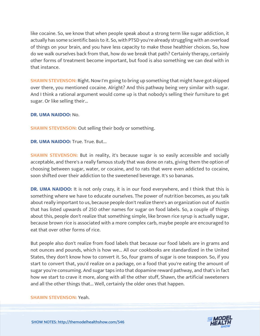like cocaine. So, we know that when people speak about a strong term like sugar addiction, it actually has some scientific basis to it. So, with PTSD you're already struggling with an overload of things on your brain, and you have less capacity to make those healthier choices. So, how do we walk ourselves back from that, how do we break that path? Certainly therapy, certainly other forms of treatment become important, but food is also something we can deal with in that instance.

**SHAWN STEVENSON:** Right. Now I'm going to bring up something that might have got skipped over there, you mentioned cocaine. Alright? And this pathway being very similar with sugar. And I think a rational argument would come up is that nobody's selling their furniture to get sugar. Or like selling their...

**DR. UMA NAIDOO:** No.

**SHAWN STEVENSON:** Out selling their body or something.

**DR. UMA NAIDOO: True. True. But...** 

**SHAWN STEVENSON:** But in reality, it's because sugar is so easily accessible and socially acceptable, and there's a really famous study that was done on rats, giving them the option of choosing between sugar, water, or cocaine, and to rats that were even addicted to cocaine, soon shifted over their addiction to the sweetened beverage. It's so bananas.

**DR. UMA NAIDOO:** It is not only crazy, it is in our food everywhere, and I think that this is something where we have to educate ourselves. The power of nutrition becomes, as you talk about really important to us, because people don't realize there's an organization out of Austin that has listed upwards of 250 other names for sugar on food labels. So, a couple of things about this, people don't realize that something simple, like brown rice syrup is actually sugar, because brown rice is associated with a more complex carb, maybe people are encouraged to eat that over other forms of rice.

But people also don't realize from food labels that because our food labels are in grams and not ounces and pounds, which is how we... All our cookbooks are standardized in the United States, they don't know how to convert it. So, four grams of sugar is one teaspoon. So, if you start to convert that, you'd realize on a package, on a food that you're eating the amount of sugar you're consuming. And sugar taps into that dopamine reward pathway, and that's in fact how we start to crave it more, along with all the other stuff, Shawn, the artificial sweeteners and all the other things that... Well, certainly the older ones that happen.

#### **SHAWN STEVENSON:** Yeah.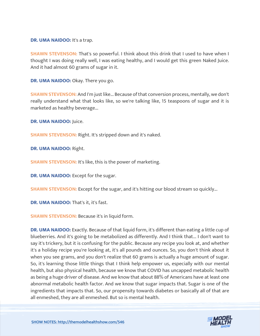**DR. UMA NAIDOO:** It's a trap.

**SHAWN STEVENSON:** That's so powerful. I think about this drink that I used to have when I thought I was doing really well, I was eating healthy, and I would get this green Naked Juice. And it had almost 60 grams of sugar in it.

**DR. UMA NAIDOO:** Okay. There you go.

**SHAWN STEVENSON:** And I'm just like... Because of that conversion process, mentally, we don't really understand what that looks like, so we're talking like, 15 teaspoons of sugar and it is marketed as healthy beverage...

**DR. UMA NAIDOO:** Juice.

**SHAWN STEVENSON:** Right. It's stripped down and it's naked.

**DR. UMA NAIDOO:** Right.

**SHAWN STEVENSON:** It's like, this is the power of marketing.

**DR. UMA NAIDOO:** Except for the sugar.

**SHAWN STEVENSON:** Except for the sugar, and it's hitting our blood stream so quickly...

**DR. UMA NAIDOO:** That's it, it's fast.

**SHAWN STEVENSON:** Because it's in liquid form.

**DR. UMA NAIDOO:** Exactly. Because of that liquid form, it's different than eating a little cup of blueberries. And it's going to be metabolized as differently. And I think that... I don't want to say it's trickery, but it is confusing for the public. Because any recipe you look at, and whether it's a holiday recipe you're looking at, it's all pounds and ounces. So, you don't think about it when you see grams, and you don't realize that 60 grams is actually a huge amount of sugar. So, it's learning those little things that I think help empower us, especially with our mental health, but also physical health, because we know that COVID has uncapped metabolic health as being a huge driver of disease. And we know that about 88% of Americans have at least one abnormal metabolic health factor. And we know that sugar impacts that. Sugar is one of the ingredients that impacts that. So, our propensity towards diabetes or basically all of that are all enmeshed, they are all enmeshed. But so is mental health.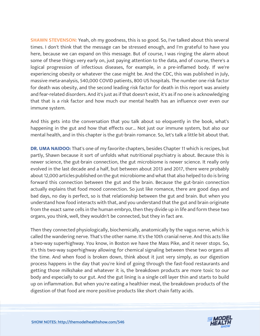**SHAWN STEVENSON:** Yeah, oh my goodness, this is so good. So, I've talked about this several times. I don't think that the message can be stressed enough, and I'm grateful to have you here, because we can expand on this message. But of course, I was ringing the alarm about some of these things very early on, just paying attention to the data, and of course, there's a logical progression of infectious diseases, for example, in a pre-inflamed body. If we're experiencing obesity or whatever the case might be. And the CDC, this was published in July, massive meta-analysis, 540,000 COVID patients, 800 US hospitals. The number one risk factor for death was obesity, and the second leading risk factor for death in this report was anxiety and fear-related disorders. And it's just as if that doesn't exist, it's as if no one is acknowledging that that is a risk factor and how much our mental health has an influence over even our immune system.

And this gets into the conversation that you talk about so eloquently in the book, what's happening in the gut and how that effects our... Not just our immune system, but also our mental health, and in this chapter is the gut-brain romance. So, let's talk a little bit about that.

**DR. UMA NAIDOO:** That's one of my favorite chapters, besides Chapter 11 which is recipes, but partly, Shawn because it sort of unfolds what nutritional psychiatry is about. Because this is newer science, the gut-brain connection, the gut microbiome is newer science. It really only evolved in the last decade and a half, but between about 2013 and 2017, there were probably about 12,000 articles published on the gut microbiome and what that also helped to do is bring forward this connection between the gut and the brain. Because the gut-brain connection actually explains that food mood connection. So just like romance, there are good days and bad days, no day is perfect, so is that relationship between the gut and brain. But when you understand how food interacts with that, and you understand that the gut and brain originate from the exact same cells in the human embryo, then they divide up in life and form these two organs, you think, well, they wouldn't be connected, but they in fact are.

Then they connected physiologically, biochemically, anatomically by the vagus nerve, which is called the wandering nerve. That's the other name. It's the 10th cranial nerve. And this acts like a two-way superhighway. You know, in Boston we have the Mass Pike, and it never stops. So, it's this two-way superhighway allowing for chemical signaling between these two organs all the time. And when food is broken down, think about it just very simply, as our digestion process happens in the day that you're kind of going through the fast-food restaurants and getting those milkshake and whatever it is, the breakdown products are more toxic to our body and especially to our gut. And the gut lining is a single cell layer thin and starts to build up on inflammation. But when you're eating a healthier meal, the breakdown products of the digestion of that food are more positive products like short chain fatty acids.

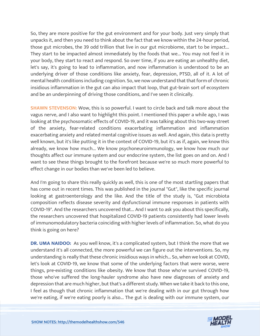So, they are more positive for the gut environment and for your body. Just very simply that unpacks it, and then you need to think about the fact that we know within the 24-hour period, those gut microbes, the 39 odd trillion that live in our gut microbiome, start to be impact... They start to be impacted almost immediately by the foods that we... You may not feel it in your body, they start to react and respond. So over time, if you are eating an unhealthy diet, let's say, it's going to lead to inflammation, and now inflammation is understood to be an underlying driver of those conditions like anxiety, fear, depression, PTSD, all of it. A lot of mental health conditions including cognition. So, we now understand that that form of chronic insidious inflammation in the gut can also impact that loop, that gut-brain sort of ecosystem and be an underpinning of driving those conditions, and I've seen it clinically.

**SHAWN STEVENSON:** Wow, this is so powerful. I want to circle back and talk more about the vagus nerve, and I also want to highlight this point. I mentioned this paper a while ago, I was looking at the psychosomatic effects of COVID-19, and it was talking about this two-way street of the anxiety, fear-related conditions exacerbating inflammation and inflammation exacerbating anxiety and related mental cognitive issues as well. And again, this data is pretty well known, but it's like putting it in the context of COVID-19, but it's as if, again, we know this already, we know how much... We know psychoneuroimmunology, we know how much our thoughts affect our immune system and our endocrine system, the list goes on and on. And I want to see these things brought to the forefront because we're so much more powerful to effect change in our bodies than we've been led to believe.

And I'm going to share this really quickly as well, this is one of the most startling papers that has come out in recent times. This was published in the journal "Gut", like the specific journal looking at gastroenterology and the like. And the title of the study is, "Gut microbiota composition reflects disease severity and dysfunctional immune responses in patients with COVID-19". And the researchers uncovered that... And I want to ask you about this specifically, the researchers uncovered that hospitalized COVID-19 patients consistently had lower levels of immunomodulatory bacteria coinciding with higher levels of inflammation. So, what do you think is going on here?

**DR. UMA NAIDOO:** As you well know, it's a complicated system, but I think the more that we understand it's all connected, the more powerful we can figure out the interventions. So, my understanding is really that these chronic insidious ways in which... So, when we look at COVID, let's look at COVID-19, we know that some of the underlying factors that were worse, were things, pre-existing conditions like obesity. We know that those who've survived COVID-19, those who've suffered the long-hauler syndrome also have new diagnoses of anxiety and depression that are much higher, but that's a different study. When we take it back to this one, I feel as though that chronic inflammation that we're dealing with in our gut through how we're eating, if we're eating poorly is also... The gut is dealing with our immune system, our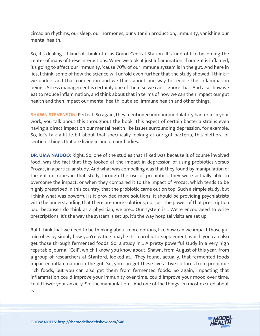circadian rhythms, our sleep, our hormones, our vitamin production, immunity, vanishing our mental health.

So, it's dealing... I kind of think of it as Grand Central Station. It's kind of like becoming the center of many of these interactions. When we look at just inflammation, if our gut is inflamed, it's going to affect our immunity, 'cause 70% of our immune system is in the gut. And here in lies, I think, some of how the science will unfold even further that the study showed. I think if we understand that connection and we think about one way to reduce the inflammation being... Stress management is certainly one of them so we can't ignore that. And also, how we eat to reduce inflammation, and think about that in terms of how we can then impact our gut health and then impact our mental health, but also, immune health and other things.

**SHAWN STEVENSON: Perfect. So again, they mentioned immunomodulatory bacteria. In your** work, you talk about this throughout the book. This aspect of certain bacteria strains even having a direct impact on our mental health like issues surrounding depression, for example. So, let's talk a little bit about that specifically looking at our gut bacteria, this plethora of sentient things that are living in and on our bodies.

**DR. UMA NAIDOO:** Right. So, one of the studies that I liked was because it of course involved food, was the fact that they looked at the impact in depression of using probiotics versus Prozac, in a particular study. And what was compelling was that they found by manipulation of the gut microbes in that study through the use of probiotics, they were actually able to overcome the impact, or when they compared it to the impact of Prozac, which tends to be highly prescribed in this country, that the probiotic came out on top. Such a simple study, but I think what was powerful is it provided more solutions, it should be providing psychiatrists with the understanding that there are more solutions, not just the power of that prescription pad, because I do think as a physician, we are... Our system is... We're encouraged to write prescriptions. It's the way the system is set up, it's the way hospital visits are set up.

But I think that we need to be thinking about more options, like how can we impact those gut microbes by simply how you're eating, maybe it's a probiotic supplement, which you can also get those through fermented foods. So, a study in... A pretty powerful study in a very high reputable journal "Cell", which I know you know about, Shawn, from August of this year, from a group of researchers at Stanford, looked at... They found, actually, that fermented foods impacted inflammation in the gut. So, you can get these live active cultures from probioticrich foods, but you can also get them from fermented foods. So again, impacting that inflammation could improve your immunity over time, could improve your mood over time, could lower your anxiety. So, the manipulation... And one of the things I'm most excited about is...

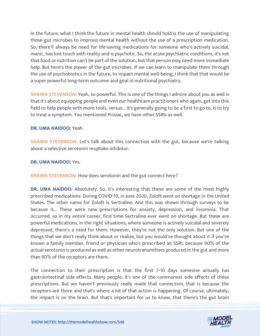In the future, what I think the future in mental health should hold is the use of manipulating those gut microbes to improve mental health without the use of a prescription medication. So, there'll always be need for life-saving medications for someone who's actively suicidal, manic, has lost touch with reality and is psychotic. So, the acute psychiatric conditions, it's not that food or nutrition can't be part of the solution, but that person may need more immediate help. But here's the power of the gut microbes. If we can learn to manipulate them through the use of psychobiotics in the future, to impact mental well-being, I think that that would be a super powerful long-term outcome and goal in nutritional psychiatry.

**SHAWN STEVENSON:** Yeah, so powerful. This is one of the things I admire about you as well is that it's about equipping people and even our healthcare practitioners who again, get into this field to help people with more tools, versus... It's generally going to be a first to go to, is to try to treat a symptom. You mentioned Prozac, we have other SSRIs as well.

#### **DR. UMA NAIDOO:** Yeah.

**SHAWN STEVENSON:** Let's talk about this connection with the gut, because we're talking about a selective serotonin reuptake inhibitor.

#### **DR. UMA NAIDOO:** Yes.

**SHAWN STEVENSON:** How does serotonin and the gut connect here?

**DR. UMA NAIDOO:** Absolutely. So, it's interesting that these are some of the most highly prescribed medications. During COVID-19, in June 2020, Zoloft went on shortage in the United States. The other name for Zoloft is Sertraline. And this was shown through surveys to be because it... These were new prescriptions for anxiety, depression, and insomnia. That occurred, so in my entire career, first time Sertraline ever went on shortage. But these are powerful medications, in the right situations, where someone is actively suicidal and severely depressed, there's a need for them. However, they're not the only solution. But one of the things that we don't really think about or realize, but you would've thought about it if you've known a family member, friend or physician who's prescribed an SSRI, because 90% of the actual serotonin is produced as well as other neurotransmitters produced in the gut and more than 90% of the receptors are there.

The connection to their prescription is that the first 7-10 days someone actually has gastrointestinal side effects. Many people, it's one of the commonest side effects of these prescriptions. But we haven't previously really made that connection, that is because the receptors are there and that's where a lot of that action is happening. Of course, ultimately, the impact is on the brain. But that's important for us to know, that there's the gut brain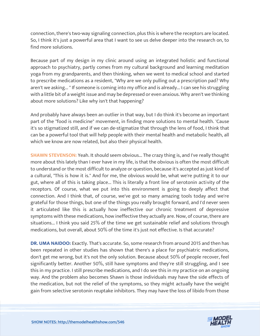connection, there's two-way signaling connection, plus this is where the receptors are located. So, I think it's just a powerful area that I want to see us delve deeper into the research on, to find more solutions.

Because part of my design in my clinic around using an integrated holistic and functional approach to psychiatry, partly comes from my cultural background and learning meditation yoga from my grandparents, and then thinking, when we went to medical school and started to prescribe medications as a resident, "Why are we only pulling out a prescription pad? Why aren't we asking... " If someone is coming into my office and is already... I can see his struggling with a little bit of a weight issue and may be depressed or even anxious. Why aren't we thinking about more solutions? Like why isn't that happening?

And probably have always been an outlier in that way, but I do think it's become an important part of the "food is medicine" movement, in finding more solutions to mental health. 'Cause it's so stigmatized still, and if we can de-stigmatize that through the lens of food, I think that can be a powerful tool that will help people with their mental health and metabolic health, all which we know are now related, but also their physical health.

**SHAWN STEVENSON:** Yeah. It should seem obvious... The crazy thing is, and I've really thought more about this lately than I ever have in my life, is that the obvious is often the most difficult to understand or the most difficult to analyze or question, because it's accepted as just kind of a cultural, "This is how it is." And for me, the obvious would be, what we're putting it to our gut, where all of this is taking place... This is literally a front line of serotonin activity of the receptors. Of course, what we put into this environment is going to deeply affect that connection. And I think that, of course, we've got so many amazing tools today and we're grateful for those things, but one of the things you really brought forward, and I'd never seen it articulated like this is actually how ineffective our chronic treatment of depressive symptoms with these medications, how ineffective they actually are. Now, of course, there are situations... I think you said 25% of the time we get sustainable relief and solutions through medications, but overall, about 50% of the time it's just not effective. Is that accurate?

**DR. UMA NAIDOO:** Exactly. That's accurate. So, some research from around 2015 and then has been repeated in other studies has shown that there's a place for psychiatric medications, don't get me wrong, but it's not the only solution. Because about 50% of people recover, feel significantly better. Another 50%, still have symptoms and they're still struggling, and I see this in my practice. I still prescribe medications, and I do see this in my practice on an ongoing way. And the problem also becomes Shawn is those individuals may have the side effects of the medication, but not the relief of the symptoms, so they might actually have the weight gain from selective serotonin reuptake inhibitors. They may have the loss of libido from those

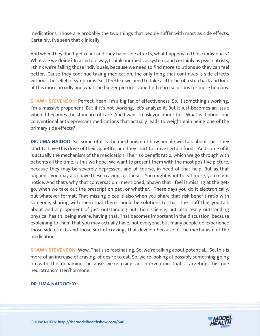medications. Those are probably the two things that people suffer with most as side effects. Certainly, I've seen that clinically.

And when they don't get relief and they have side effects, what happens to those individuals? What are we doing? In a certain way, I think our medical system, and certainly as psychiatrists, I think we're failing those individuals, because we need to find more solutions so they can feel better. 'Cause they continue taking medication, the only thing that continues is side effects without the relief of symptoms. So, I feel like we need to take a little bit of a step back and look at this more broadly and what the bigger picture is and find more solutions for more humans.

**SHAWN STEVENSON:** Perfect. Yeah. I'm a big fan of effectiveness. So, if something's working, I'm a massive proponent. But if it's not working, let's analyze it. But it just becomes an issue when it becomes the standard of care. And I want to ask you about this. What is it about our conventional antidepressant medications that actually leads to weight gain being one of the primary side effects?

**DR. UMA NAIDOO:** So, some of it is the mechanism of how people will talk about this. They start to have this drive of their appetite, and they start to crave certain foods. And some of it is actually the mechanism of the medication. The risk-benefit ratio, which we go through with patients all the time, is this we hope. We want to present them with the most positive picture, because they may be severely depressed, and of course, in need of that help. But as that happens, you may also have these cravings or these... You might want to eat more, you might notice. And that's why that conversation I mentioned, Shawn that I feel is missing at the getgo, when we take out the prescription pad, or whether... These days you do it electronically, but whatever format. That missing piece is also when you share that risk-benefit ratio with someone, sharing with them that there should be solutions to that. The stuff that you talk about and a proponent of just outstanding nutrition science, but also really outstanding physical health, being aware, having that. That becomes important in the discussion, because explaining to them that you may actually have, not everyone, but many people do experience those side effects and those sort of cravings that develop because of the mechanism of the medication.

**SHAWN STEVENSON:** Wow. That's so fascinating. So, we're talking about potential... So, this is more of an increase of craving, of desire to eat. So, we're looking at possibly something going on with the dopamine, because we're using an intervention that's targeting this one neurotransmitter/hormone.

**DR. UMA NAIDOO:** Yes.

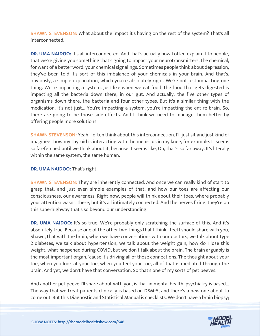**SHAWN STEVENSON:** What about the impact it's having on the rest of the system? That's all interconnected.

**DR. UMA NAIDOO:** It's all interconnected. And that's actually how I often explain it to people, that we're giving you something that's going to impact your neurotransmitters, the chemical, for want of a better word, your chemical signalings. Sometimes people think about depression, they've been told it's sort of this imbalance of your chemicals in your brain. And that's, obviously, a simple explanation, which you're absolutely right. We're not just impacting one thing. We're impacting a system. Just like when we eat food, the food that gets digested is impacting all the bacteria down there, in our gut. And actually, the five other types of organisms down there, the bacteria and four other types. But it's a similar thing with the medication. It's not just... You're impacting a system; you're impacting the entire brain. So, there are going to be those side effects. And I think we need to manage them better by offering people more solutions.

**SHAWN STEVENSON:** Yeah. I often think about this interconnection. I'll just sit and just kind of imagineer how my thyroid is interacting with the meniscus in my knee, for example. It seems so far-fetched until we think about it, because it seems like, Oh, that's so far away. It's literally within the same system, the same human.

#### **DR. UMA NAIDOO:** That's right.

**SHAWN STEVENSON:** They are inherently connected. And once we can really kind of start to grasp that, and just even simple examples of that, and how our toes are affecting our consciousness, our awareness. Right now, people will think about their toes, where probably your attention wasn't there, but it's all intimately connected. And the nerves firing, they're on this superhighway that's so beyond our understanding.

**DR. UMA NAIDOO:** It's so true. We're probably only scratching the surface of this. And it's absolutely true. Because one of the other two things that I think I feel I should share with you, Shawn, that with the brain, when we have conversations with our doctors, we talk about type 2 diabetes, we talk about hypertension, we talk about the weight gain, how do I lose this weight, what happened during COVID, but we don't talk about the brain. The brain arguably is the most important organ, 'cause it's driving all of those connections. The thought about your toe, when you look at your toe, when you feel your toe, all of that is mediated through the brain. And yet, we don't have that conversation. So that's one of my sorts of pet peeves.

And another pet peeve I'll share about with you, is that in mental health, psychiatry is based... The way that we treat patients clinically is based on DSM-5, and there's a new one about to come out. But this Diagnostic and Statistical Manual is checklists. We don't have a brain biopsy;

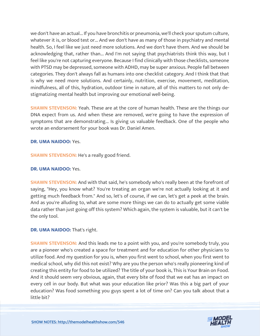we don't have an actual... If you have bronchitis or pneumonia, we'll check your sputum culture, whatever it is, or blood test or... And we don't have as many of those in psychiatry and mental health. So, I feel like we just need more solutions. And we don't have them. And we should be acknowledging that, rather than... And I'm not saying that psychiatrists think this way, but I feel like you're not capturing everyone. Because I find clinically with those checklists, someone with PTSD may be depressed, someone with ADHD, may be super anxious. People fall between categories. They don't always fall as humans into one checklist category. And I think that that is why we need more solutions. And certainly, nutrition, exercise, movement, meditation, mindfulness, all of this, hydration, outdoor time in nature, all of this matters to not only destigmatizing mental health but improving our emotional well-being.

**SHAWN STEVENSON:** Yeah. These are at the core of human health. These are the things our DNA expect from us. And when these are removed, we're going to have the expression of symptoms that are demonstrating... Is giving us valuable feedback. One of the people who wrote an endorsement for your book was Dr. Daniel Amen.

#### **DR. UMA NAIDOO:** Yes.

**SHAWN STEVENSON:** He's a really good friend.

#### **DR. UMA NAIDOO:** Yes.

**SHAWN STEVENSON:** And with that said, he's somebody who's really been at the forefront of saying, "Hey, you know what? You're treating an organ we're not actually looking at it and getting much feedback from." And so, let's of course, if we can, let's get a peek at the brain. And as you're alluding to, what are some more things we can do to actually get some viable data rather than just going off this system? Which again, the system is valuable, but it can't be the only tool.

#### **DR. UMA NAIDOO:** That's right.

**SHAWN STEVENSON:** And this leads me to a point with you, and you're somebody truly, you are a pioneer who's created a space for treatment and for education for other physicians to utilize food. And my question for you is, when you first went to school, when you first went to medical school, why did this not exist? Why are you the person who's really pioneering kind of creating this entity for food to be utilized? The title of your book is, This is Your Brain on Food. And it should seem very obvious, again, that every bite of food that we eat has an impact on every cell in our body. But what was your education like prior? Was this a big part of your education? Was food something you guys spent a lot of time on? Can you talk about that a little bit?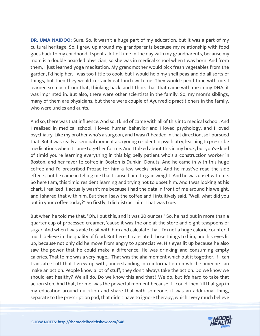**DR. UMA NAIDOO:** Sure. So, it wasn't a huge part of my education, but it was a part of my cultural heritage. So, I grew up around my grandparents because my relationship with food goes back to my childhood. I spent a lot of time in the day with my grandparents, because my mom is a double boarded physician, so she was in medical school when I was born. And from them, I just learned yoga meditation. My grandmother would pick fresh vegetables from the garden, I'd help her. I was too little to cook, but I would help my shell peas and do all sorts of things, but then they would certainly eat lunch with me. They would spend time with me. I learned so much from that, thinking back, and I think that that came with me in my DNA, it was imprinted in. But also, there were other scientists in the family. So, my mom's siblings, many of them are physicians, but there were couple of Ayurvedic practitioners in the family, who were uncles and aunts.

And so, there was that influence. And so, I kind of came with all of this into medical school. And I realized in medical school, I loved human behavior and I loved psychology, and I loved psychiatry. Like my brother who's a surgeon, and I wasn't headed in that direction, so I pursued that. But it was really a seminal moment as a young resident in psychiatry, learning to prescribe medications when it came together for me. And I talked about this in my book, but you've kind of timid you're learning everything in this big belly patient who's a construction worker in Boston, and her favorite coffee in Boston is Dunkin' Donuts. And he came in with this huge coffee and I'd prescribed Prozac for him a few weeks prior. And he must've read the side effects, but he came in telling me that I caused him to gain weight. And he was upset with me. So here I am, this timid resident learning and trying not to upset him. And I was looking at his chart, I realized it actually wasn't me because I had the data in front of me around his weight, and I shared that with him. But then I saw the coffee and I intuitively said, "Well, what did you put in your coffee today?" So firstly, I did distract him. That was true.

But when he told me that, "Oh, I put this, and it was 20 ounces." So, he had put in more than a quarter cup of processed creamer, 'cause it was the one at the store and eight teaspoons of sugar. And when I was able to sit with him and calculate that, I'm not a huge calorie counter, I much believe in the quality of food. But here, I translated those things to him, and his eyes lit up, because not only did he move from angry to appreciative. His eyes lit up because he also saw the power that he could make a difference. He was drinking and consuming empty calories. That to me was a very huge... That was the aha moment which put it together. If I can translate stuff that I grew up with, understanding into information on which someone can make an action. People know a lot of stuff; they don't always take the action. Do we know we should eat healthy? We all do. Do we know this and that? We do, but it's hard to take that action step. And that, for me, was the powerful moment because if I could then fill that gap in my education around nutrition and share that with someone, it was an additional thing, separate to the prescription pad, that didn't have to ignore therapy, which I very much believe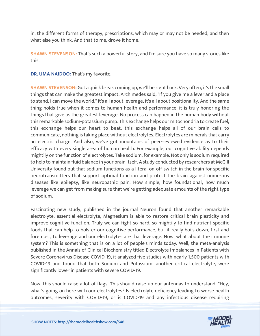in, the different forms of therapy, prescriptions, which may or may not be needed, and then what else you think. And that to me, drove it home.

**SHAWN STEVENSON:** That's such a powerful story, and I'm sure you have so many stories like this.

**DR. UMA NAIDOO:** That's my favorite.

**SHAWN STEVENSON:** Got a quick break coming up, we'll be right back. Very often, it's the small things that can make the greatest impact. Archimedes said, "If you give me a lever and a place to stand, I can move the world." It's all about leverage, it's all about positionality. And the same thing holds true when it comes to human health and performance, it is truly honoring the things that give us the greatest leverage. No process can happen in the human body without this remarkable sodium-potassium pump. This exchange helps our mitochondria to create fuel, this exchange helps our heart to beat, this exchange helps all of our brain cells to communicate, nothing is taking place without electrolytes. Electrolytes are minerals that carry an electric charge. And also, we've got mountains of peer-reviewed evidence as to their efficacy with every single area of human health. For example, our cognitive ability depends mightily on the function of electrolytes. Take sodium, for example. Not only is sodium required to help to maintain fluid balance in your brain itself. A study conducted by researchers at McGill University found out that sodium functions as a literal on-off switch in the brain for specific neurotransmitters that support optimal function and protect the brain against numerous diseases like epilepsy, like neuropathic pain. How simple, how foundational, how much leverage we can get from making sure that we're getting adequate amounts of the right type of sodium.

Fascinating new study, published in the journal Neuron found that another remarkable electrolyte, essential electrolyte, Magnesium is able to restore critical brain plasticity and improve cognitive function. Truly we can fight so hard, so mightily to find nutrient specific foods that can help to bolster our cognitive performance, but it really boils down, first and foremost, to leverage and our electrolytes are that leverage. Now, what about the immune system? This is something that is on a lot of people's minds today. Well, the meta-analysis published in the Annals of Clinical Biochemistry titled Electrolyte Imbalances in Patients with Severe Coronavirus Disease COVID-19, it analyzed five studies with nearly 1,500 patients with COVID-19 and found that both Sodium and Potassium, another critical electrolyte, were significantly lower in patients with severe COVID-19.

Now, this should raise a lot of flags. This should raise up our antennas to understand, "Hey, what's going on here with our electrolytes? Is electrolyte deficiency leading to worse health outcomes, severity with COVID-19, or is COVID-19 and any infectious disease requiring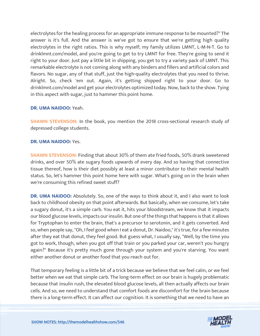electrolytes for the healing process for an appropriate immune response to be mounted?" The answer is it's full. And the answer is we've got to ensure that we're getting high quality electrolytes in the right ratios. This is why myself; my family utilizes LMNT, L-M-N-T. Go to drinklmnt.com/model, and you're going to get to try LMNT for free. They're going to send it right to your door. Just pay a little bit in shipping, you get to try a variety pack of LMNT. This remarkable electrolyte is not coming along with any binders and fillers and artificial colors and flavors. No sugar, any of that stuff, just the high-quality electrolytes that you need to thrive. Alright. So, check 'em out. Again, it's getting shipped right to your door. Go to drinklmnt.com/model and get your electrolytes optimized today. Now, back to the show. Tying in this aspect with sugar, just to hammer this point home.

#### **DR. UMA NAIDOO:** Yeah.

**SHAWN STEVENSON:** In the book, you mention the 2018 cross-sectional research study of depressed college students.

#### **DR. UMA NAIDOO:** Yes.

**SHAWN STEVENSON:** Finding that about 30% of them ate fried foods, 50% drank sweetened drinks, and over 50% ate sugary foods upwards of every day. And so having that connective tissue thereof, how is their diet possibly at least a minor contributor to their mental health status. So, let's hammer this point home here with sugar. What's going on in the brain when we're consuming this refined sweet stuff?

**DR. UMA NAIDOO:** Absolutely. So, one of the ways to think about it, and I also want to look back to childhood obesity on that point afterwards. But basically, when we consume, let's take a sugary donut, it's a simple carb. You eat it, hits your bloodstream, we know that it impacts our blood glucose levels, impacts our insulin. But one of the things that happens is that it allows for Tryptophan to enter the brain, that's a precursor to serotonin, and it gets converted. And so, when people say, "Oh, I feel good when I eat a donut, Dr. Naidoo," it's true, for a few minutes after they eat that donut, they feel good. But guess what, I usually say, "Well, by the time you got to work, though, when you got off that train or you parked your car, weren't you hungry again?" Because it's pretty much gone through your system and you're starving. You want either another donut or another food that you reach out for.

That temporary feeling is a little bit of a trick because we believe that we feel calm, or we feel better when we eat that simple carb. The long-term effect on our brain is hugely problematic because that insulin rush, the elevated blood glucose levels, all then actually affects our brain cells. And so, we need to understand that comfort foods are discomfort for the brain because there is a long-term effect. It can affect our cognition. It is something that we need to have an

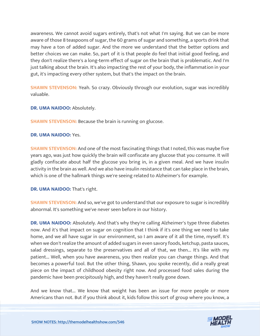awareness. We cannot avoid sugars entirely, that's not what I'm saying. But we can be more aware of those 8 teaspoons of sugar, the 60 grams of sugar and something, a sports drink that may have a ton of added sugar. And the more we understand that the better options and better choices we can make. So, part of it is that people do feel that initial good feeling, and they don't realize there's a long-term effect of sugar on the brain that is problematic. And I'm just talking about the brain. It's also impacting the rest of your body, the inflammation in your gut, it's impacting every other system, but that's the impact on the brain.

**SHAWN STEVENSON:** Yeah. So crazy. Obviously through our evolution, sugar was incredibly valuable.

**DR. UMA NAIDOO: Absolutely.** 

**SHAWN STEVENSON: Because the brain is running on glucose.** 

#### **DR. UMA NAIDOO:** Yes.

**SHAWN STEVENSON:** And one of the most fascinating things that I noted, this was maybe five years ago, was just how quickly the brain will confiscate any glucose that you consume. It will gladly confiscate about half the glucose you bring in, in a given meal. And we have insulin activity in the brain as well. And we also have insulin resistance that can take place in the brain, which is one of the hallmark things we're seeing related to Alzheimer's for example.

**DR. UMA NAIDOO:** That's right.

**SHAWN STEVENSON:** And so, we've got to understand that our exposure to sugar is incredibly abnormal. It's something we've never seen before in our history.

**DR. UMA NAIDOO:** Absolutely. And that's why they're calling Alzheimer's type three diabetes now. And it's that impact on sugar on cognition that I think if it's one thing we need to take home, and we all have sugar in our environment, so I am aware of it all the time, myself. It's when we don't realize the amount of added sugars in even savory foods, ketchup, pasta sauces, salad dressings, separate to the preservatives and all of that, we then... It's like with my patient... Well, when you have awareness, you then realize you can change things. And that becomes a powerful tool. But the other thing, Shawn, you spoke recently, did a really great piece on the impact of childhood obesity right now. And processed food sales during the pandemic have been precipitously high, and they haven't really gone down.

And we know that... We know that weight has been an issue for more people or more Americans than not. But if you think about it, kids follow this sort of group where you know, a

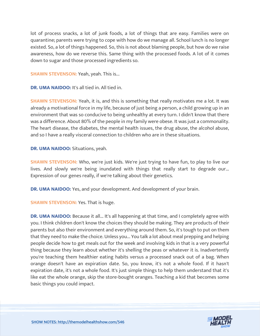lot of process snacks, a lot of junk foods, a lot of things that are easy. Families were on quarantine; parents were trying to cope with how do we manage all. School lunch is no longer existed. So, a lot of things happened. So, this is not about blaming people, but how do we raise awareness, how do we reverse this. Same thing with the processed foods. A lot of it comes down to sugar and those processed ingredients so.

**SHAWN STEVENSON: Yeah, yeah. This is...** 

**DR. UMA NAIDOO:** It's all tied in. All tied in.

**SHAWN STEVENSON:** Yeah, it is, and this is something that really motivates me a lot. It was already a motivational force in my life, because of just being a person, a child growing up in an environment that was so conducive to being unhealthy at every turn. I didn't know that there was a difference. About 80% of the people in my family were obese. It was just a commonality. The heart disease, the diabetes, the mental health issues, the drug abuse, the alcohol abuse, and so I have a really visceral connection to children who are in these situations.

**DR. UMA NAIDOO:** Situations, yeah.

**SHAWN STEVENSON:** Who, we're just kids. We're just trying to have fun, to play to live our lives. And slowly we're being inundated with things that really start to degrade our... Expression of our genes really, if we're talking about their genetics.

**DR. UMA NAIDOO:** Yes, and your development. And development of your brain.

**SHAWN STEVENSON: Yes. That is huge.** 

**DR. UMA NAIDOO:** Because it all... It's all happening at that time, and I completely agree with you. I think children don't know the choices they should be making. They are products of their parents but also their environment and everything around them. So, it's tough to put on them that they need to make the choice. Unless you... You talk a lot about meal prepping and helping people decide how to get meals out for the week and involving kids in that is a very powerful thing because they learn about whether it's shelling the peas or whatever it is. Inadvertently you're teaching them healthier eating habits versus a processed snack out of a bag. When orange doesn't have an expiration date. So, you know, it's not a whole food. If it hasn't expiration date, it's not a whole food. It's just simple things to help them understand that it's like eat the whole orange, skip the store-bought oranges. Teaching a kid that becomes some basic things you could impact.

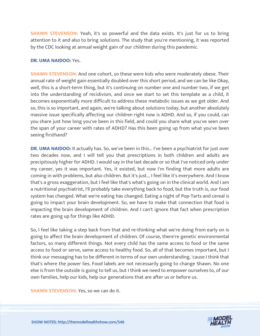**SHAWN STEVENSON:** Yeah, it's so powerful and the data exists. It's just for us to bring attention to it and also to bring solutions. The study that you're mentioning, it was reported by the CDC looking at annual weight gain of our children during this pandemic.

#### **DR. UMA NAIDOO:** Yes.

**SHAWN STEVENSON:** And one cohort, so these were kids who were moderately obese. Their annual rate of weight gain essentially doubled over this short period, and we can be like Okay, well, this is a short-term thing, but it's continuing on number one and number two, if we get into the understanding of recidivism, and once we start to set this template as a child, it becomes exponentially more difficult to address these metabolic issues as we get older. And so, this is so important, and again, we're talking about solutions today, but another absolutely massive issue specifically affecting our children right now is ADHD. And so, if you could, can you share just how long you've been in this field, and could you share what you've seen over the span of your career with rates of ADHD? Has this been going up from what you've been seeing firsthand?

**DR. UMA NAIDOO:** It actually has. So, we've been in this... I've been a psychiatrist for just over two decades now, and I will tell you that prescriptions in both children and adults are precipitously higher for ADHD. I would say in the last decade or so that I've noticed only under my career, yes it was important. Yes, it existed, but now I'm finding that more adults are coming in with problems, but also children. But it's just... I feel like it's everywhere. And I know that's a gross exaggeration, but I feel like that's what's going on in the clinical world. And I am a nutritional psychiatrist, I'll probably take everything back to food, but the truth is, our food system has changed. What we're eating has changed. Eating a night of Pop-Tarts and cereal is going to impact your brain development. So, we have to make that connection that food is impacting the brain development of children. And I can't ignore that fact when prescription rates are going up for things like ADHD.

So, I feel like taking a step back from that and re-thinking what we're doing from early on is going to affect the brain development of children. Of course, there're genetic environmental factors, so many different things. Not every child has the same access to food or the same access to food or serve, same access to healthy food. So, all of that becomes important, but I think our messaging has to be different in terms of our own understanding, 'cause I think that that's where the power lies. Food labels are not necessarily going to change Shawn. No one else is from the outside is going to tell us, but I think we need to empower ourselves to, of our own families, help our kids, help our generations that are after us or before us.

**SHAWN STEVENSON:** Yes, so we can do it.

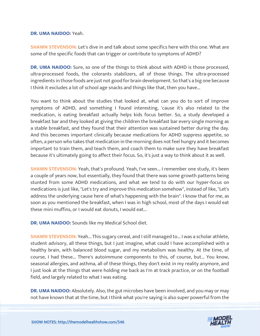#### **DR. UMA NAIDOO:** Yeah.

**SHAWN STEVENSON:** Let's dive in and talk about some specifics here with this one. What are some of the specific foods that can trigger or contribute to symptoms of ADHD?

**DR. UMA NAIDOO:** Sure, so one of the things to think about with ADHD is those processed, ultra-processed foods, the colorants stabilizers, all of those things. The ultra-processed ingredients in those foods are just not good for brain development. So that's a big one because I think it excludes a lot of school age snacks and things like that, then you have...

You want to think about the studies that looked at, what can you do to sort of improve symptoms of ADHD, and something I found interesting, 'cause it's also related to the medication, is eating breakfast actually helps kids focus better. So, a study developed a breakfast bar and they looked at giving the children the breakfast bar every single morning as a stable breakfast, and they found that their attention was sustained better during the day. And this becomes important clinically because medications for ADHD suppress appetite, so often, a person who takes that medication in the morning does not feel hungry and it becomes important to train them, and teach them, and coach them to make sure they have breakfast because it's ultimately going to affect their focus. So, it's just a way to think about it as well.

**SHAWN STEVENSON:** Yeah, that's profound. Yeah, I've seen... I remember one study, it's been a couple of years now, but essentially, they found that there was some growth patterns being stunted from some ADHD medications, and what we tend to do with our hyper-focus on medications is just like, "Let's try and improve this medication somehow", instead of like, "Let's address the underlying cause here of what's happening with the brain". I know that for me, as soon as you mentioned the breakfast, when I was in high school, most of the days I would eat these mini muffins, or I would eat donuts, I would eat...

**DR. UMA NAIDOO:** Sounds like my Medical School diet.

**SHAWN STEVENSON:** Yeah... This sugary cereal, and I still managed to... I was a scholar athlete, student advisory, all these things, but I just imagine, what could I have accomplished with a healthy brain, with balanced blood sugar, and my metabolism was healthy. At the time, of course, I had these... There's autoimmune components to this, of course, but... You know, seasonal allergies, and asthma, all of these things, they don't exist in my reality anymore, and I just look at the things that were holding me back as I'm at track practice, or on the football field, and largely related to what I was eating.

**DR. UMA NAIDOO:** Absolutely. Also, the gut microbes have been involved, and you may or may not have known that at the time, but I think what you're saying is also super powerful from the



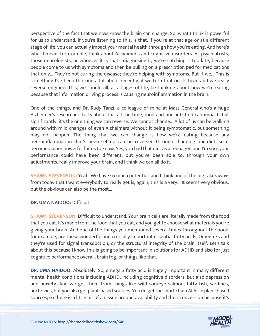perspective of the fact that we now know the brain can change. So, what I think is powerful for us to understand, if you're listening to this, is that, if you're at that age or at a different stage of life, you can actually impact your mental health through how you're eating. And here's what I mean, for example, think about Alzheimer's and cognitive disorders. As psychiatrists, those neurologists, or whoever it is that's diagnosing it, we're catching it too late, because people come to us with symptoms and then be pulling on a prescription pad for medications that only... They're not curing the disease; they're helping with symptoms. But if we... This is something I've been thinking a lot about recently, if we turn that on its head and we really reverse engineer this, we should all, at all ages of life, be thinking about how we're eating because that information driving process is causing neuroinflammation in the brain.

One of the things, and Dr. Rudy Tanzi, a colleague of mine at Mass General who's a huge Alzheimer's researcher, talks about this all the time, food and our nutrition can impact that significantly, it's the one thing we can reverse. We cannot change... A lot of us can be walking around with mild changes of even Alzheimers without it being symptomatic, but something may not happen. The thing that we can change is how we're eating because any neuroinflammation that's been set up can be reversed through changing our diet, so it becomes super powerful for us to know. Yes, you had that diet as a teenager, and I'm sure your performance could have been different, but you've been able to, through your own adjustments, really improve your brain, and I think we can all do it.

**SHAWN STEVENSON:** Yeah. We have so much potential, and I think one of the big take-aways from today that I want everybody to really get is, again, this is a very... It seems very obvious, but the obvious can also be the most...

#### **DR. UMA NAIDOO:** Difficult.

**SHAWN STEVENSON:** Difficult to understand. Your brain cells are literally made from the food that you eat. It's made from the food that you eat, and you get to choose what materials you're giving your brain. And one of the things you mentioned several times throughout the book, for example, are these wonderful and critically important essential fatty acids, Omega 3s and they're used for signal transduction, or the structural integrity of the brain itself. Let's talk about this because I know this is going to be important in solutions for ADHD and also for just cognitive performance overall, brain fog, or things like that.

**DR. UMA NAIDOO:** Absolutely. So, omega 3 fatty acid is hugely important in many different mental health conditions including ADHD, including cognitive disorders, but also depression and anxiety. And we get them from things like wild sockeye salmon, fatty fish, sardines, anchovies, but you also get plant-based sources. You do get the short chain ALAs in plant-based sources, so there is a little bit of an issue around availability and their conversion because it's

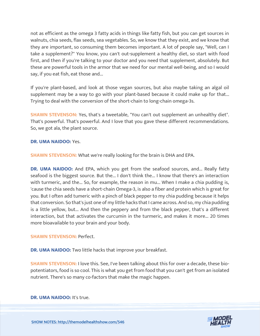not as efficient as the omega 3 fatty acids in things like fatty fish, but you can get sources in walnuts, chia seeds, flax seeds, sea vegetables. So, we know that they exist, and we know that they are important, so consuming them becomes important. A lot of people say, "Well, can I take a supplement?" You know, you can't out-supplement a healthy diet, so start with food first, and then if you're talking to your doctor and you need that supplement, absolutely. But these are powerful tools in the armor that we need for our mental well-being, and so I would say, if you eat fish, eat those and...

If you're plant-based, and look at those vegan sources, but also maybe taking an algal oil supplement may be a way to go with your plant-based because it could make up for that... Trying to deal with the conversion of the short-chain to long-chain omega-3s.

**SHAWN STEVENSON:** Yes, that's a tweetable, "You can't out supplement an unhealthy diet". That's powerful. That's powerful. And I love that you gave these different recommendations. So, we got ala, the plant source.

#### **DR. UMA NAIDOO:** Yes.

**SHAWN STEVENSON:** What we're really looking for the brain is DHA and EPA.

**DR. UMA NAIDOO:** And EPA, which you get from the seafood sources, and... Really fatty seafood is the biggest source. But the... I don't think the... I know that there's an interaction with turmeric, and the... So, for example, the reason in mu... When I make a chia pudding is, 'cause the chia seeds have a short-chain Omega-3, is also a fiber and protein which is great for you. But I often add tumeric with a pinch of black pepper to my chia pudding because it helps that conversion. So that's just one of my little hacks that I came across. And so, my chia pudding is a little yellow, but... And then the peppery and from the black pepper, that's a different interaction, but that activates the curcumin in the turmeric, and makes it more... 20 times more bioavailable to your brain and your body.

#### **SHAWN STEVENSON: Perfect.**

**DR. UMA NAIDOO:** Two little hacks that improve your breakfast.

**SHAWN STEVENSON:** I love this. See, I've been talking about this for over a decade, these biopotentiators, food is so cool. This is what you get from food that you can't get from an isolated nutrient. There's so many co-factors that make the magic happen.

#### **DR. UMA NAIDOO:** It's true.

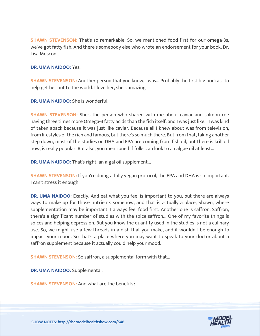**SHAWN STEVENSON:** That's so remarkable. So, we mentioned food first for our omega-3s, we've got fatty fish. And there's somebody else who wrote an endorsement for your book, Dr. Lisa Mosconi.

#### **DR. UMA NAIDOO:** Yes.

**SHAWN STEVENSON:** Another person that you know, I was... Probably the first big podcast to help get her out to the world. I love her, she's amazing.

**DR. UMA NAIDOO:** She is wonderful.

**SHAWN STEVENSON:** She's the person who shared with me about caviar and salmon roe having three times more Omega-3 fatty acids than the fish itself, and I was just like... I was kind of taken aback because it was just like caviar. Because all I knew about was from television, from lifestyles of the rich and famous, but there's so much there. But from that, taking another step down, most of the studies on DHA and EPA are coming from fish oil, but there is krill oil now, is really popular. But also, you mentioned if folks can look to an algae oil at least...

**DR. UMA NAIDOO:** That's right, an algal oil supplement...

**SHAWN STEVENSON:** If you're doing a fully vegan protocol, the EPA and DHA is so important. I can't stress it enough.

**DR. UMA NAIDOO:** Exactly. And eat what you feel is important to you, but there are always ways to make up for those nutrients somehow, and that is actually a place, Shawn, where supplementation may be important. I always feel food first. Another one is saffron. Saffron, there's a significant number of studies with the spice saffron... One of my favorite things is spices and helping depression. But you know the quantity used in the studies is not a culinary use. So, we might use a few threads in a dish that you make, and it wouldn't be enough to impact your mood. So that's a place where you may want to speak to your doctor about a saffron supplement because it actually could help your mood.

**SHAWN STEVENSON: So saffron, a supplemental form with that...** 

**DR. UMA NAIDOO:** Supplemental.

**SHAWN STEVENSON:** And what are the benefits?

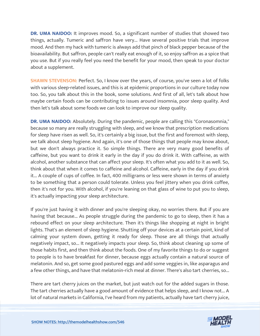**DR. UMA NAIDOO:** It improves mood. So, a significant number of studies that showed two things, actually. Tumeric and saffron have very... Have several positive trials that improve mood. And then my hack with tumeric is always add that pinch of black pepper because of the bioavailability. But saffron, people can't really eat enough of it, so enjoy saffron as a spice that you use. But if you really feel you need the benefit for your mood, then speak to your doctor about a supplement.

**SHAWN STEVENSON:** Perfect. So, I know over the years, of course, you've seen a lot of folks with various sleep-related issues, and this is at epidemic proportions in our culture today now too. So, you talk about this in the book, some solutions. And first of all, let's talk about how maybe certain foods can be contributing to issues around insomnia, poor sleep quality. And then let's talk about some foods we can look to improve our sleep quality.

**DR. UMA NAIDOO:** Absolutely. During the pandemic, people are calling this "Coronasomnia," because so many are really struggling with sleep, and we know that prescription medications for sleep have risen as well. So, it's certainly a big issue, but the first and foremost with sleep, we talk about sleep hygiene. And again, it's one of those things that people may know about, but we don't always practice it. So simple things. There are very many good benefits of caffeine, but you want to drink it early in the day if you do drink it. With caffeine, as with alcohol, another substance that can affect your sleep. It's often what you add to it as well. So, think about that when it comes to caffeine and alcohol. Caffeine, early in the day if you drink it... A couple of cups of coffee. In fact, 400 milligrams or less were shown in terms of anxiety to be something that a person could tolerate. Unless you feel jittery when you drink coffee, then it's not for you. With alcohol, if you're leaning on that glass of wine to put you to sleep, it's actually impacting your sleep architecture.

If you're just having it with dinner and you're sleeping okay, no worries there. But if you are having that because... As people struggle during the pandemic to go to sleep, then it has a rebound effect on your sleep architecture. Then it's things like shopping at night in bright lights. That's an element of sleep hygiene. Shutting off your devices at a certain point, kind of calming your system down, getting it ready for sleep. Those are all things that actually negatively impact, so... It negatively impacts your sleep. So, think about cleaning up some of those habits first, and then think about the foods. One of my favorite things to do or suggest to people is to have breakfast for dinner, because eggs actually contain a natural source of melatonin. And so, get some good pastured eggs and add some veggies in, like asparagus and a few other things, and have that melatonin-rich meal at dinner. There's also tart cherries, so...

There are tart cherry juices on the market, but just watch out for the added sugars in those. The tart cherries actually have a good amount of evidence that helps sleep, and I know not... A lot of natural markets in California, I've heard from my patients, actually have tart cherry juice,

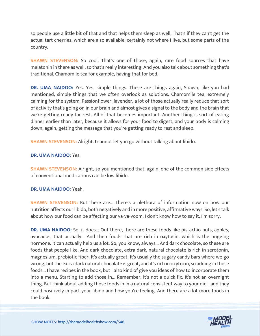so people use a little bit of that and that helps them sleep as well. That's if they can't get the actual tart cherries, which are also available, certainly not where I live, but some parts of the country.

**SHAWN STEVENSON:** So cool. That's one of those, again, rare food sources that have melatonin in there as well, so that's really interesting. And you also talk about something that's traditional. Chamomile tea for example, having that for bed.

**DR. UMA NAIDOO:** Yes. Yes, simple things. These are things again, Shawn, like you had mentioned, simple things that we often overlook as solutions. Chamomile tea, extremely calming for the system. Passionflower, lavender, a lot of those actually really reduce that sort of activity that's going on in our brain and almost gives a signal to the body and the brain that we're getting ready for rest. All of that becomes important. Another thing is sort of eating dinner earlier than later, because it allows for your food to digest, and your body is calming down, again, getting the message that you're getting ready to rest and sleep.

**SHAWN STEVENSON:** Alright. I cannot let you go without talking about libido.

### **DR. UMA NAIDOO:** Yes.

**SHAWN STEVENSON:** Alright, so you mentioned that, again, one of the common side effects of conventional medications can be low libido.

## **DR. UMA NAIDOO:** Yeah.

**SHAWN STEVENSON:** But there are... There's a plethora of information now on how our nutrition affects our libido, both negatively and in more positive, affirmative ways. So, let's talk about how our food can be affecting our va-va-voom. I don't know how to say it, I'm sorry.

**DR. UMA NAIDOO:** So, it does... Out there, there are these foods like pistachio nuts, apples, avocados, that actually... And then foods that are rich in oxytocin, which is the hugging hormone. It can actually help us a lot. So, you know, always... And dark chocolate, so these are foods that people like. And dark chocolate, extra dark, natural chocolate is rich in serotonin, magnesium, prebiotic fiber. It's actually great. It's usually the sugary candy bars where we go wrong, but the extra dark natural chocolate is great, and it's rich in oxytocin, so adding in those foods... I have recipes in the book, but I also kind of give you ideas of how to incorporate them into a menu. Starting to add those in... Remember, it's not a quick fix. It's not an overnight thing. But think about adding those foods in in a natural consistent way to your diet, and they could positively impact your libido and how you're feeling. And there are a lot more foods in the book.

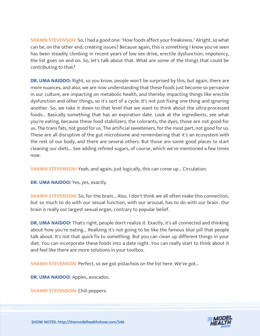**SHAWN STEVENSON:** So, I had a good one: "How foods affect your freakiness." Alright, so what can be, on the other end, creating issues? Because again, this is something I know you've seen has been steadily climbing in recent years of low sex drive, erectile dysfunction, impotency, the list goes on and on. So, let's talk about that. What are some of the things that could be contributing to that?

**DR. UMA NAIDOO:** Right, so you know, people won't be surprised by this, but again, there are more nuances, and also, we are now understanding that these foods just become so pervasive in our culture, are impacting on metabolic health, and thereby impacting things like erectile dysfunction and other things, so it's sort of a cycle. It's not just fixing one thing and ignoring another. So, we take it down to that level that we want to think about the ultra-processed foods... Basically something that has an expiration date. Look at the ingredients, see what you're eating, because these food stabilizers, the colorants, the dyes, those are not good for us. The trans fats, not good for us. The artificial sweeteners, for the most part, not good for us. These are all disruptive of the gut microbiome and remembering that it's an ecosystem with the rest of our body, and there are several others. But those are some good places to start cleaning our diets... See adding refined sugars, of course, which we've mentioned a few times now.

**SHAWN STEVENSON:** Yeah, and again, just logically, this can come up... Circulation.

**DR. UMA NAIDOO:** Yes, yes, exactly.

**SHAWN STEVENSON:** So, for the brain... Also, I don't think we all often make this connection, but so much to do with our sexual function, with our arousal, has to do with our brain. Our brain is really our largest sexual organ, contrary to popular belief.

**DR. UMA NAIDOO:** That's right, people don't realize it. Exactly, it's all connected and thinking about how you're eating... Realizing it's not going to be like the famous blue pill that people talk about. It's not that quick fix to something. But you can clean up different things in your diet. You can incorporate these foods into a date night. You can really start to think about it and feel like there are more solutions in your toolbox.

**SHAWN STEVENSON: Perfect, so we got pistachios on the list here. We've got...** 

**DR. UMA NAIDOO:** Apples, avocados.

**SHAWN STEVENSON: Chili peppers.** 

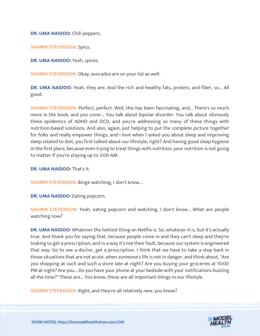**DR. UMA NAIDOO:** Chili peppers.

**SHAWN STEVENSON: Spicy.** 

**DR. UMA NAIDOO:** Yeah, spices.

**SHAWN STEVENSON: Okay, avocados are on your list as well.** 

**DR. UMA NAIDOO:** Yeah, they are. And the rich and healthy fats, protein, and fiber, so... All good.

**SHAWN STEVENSON:** Perfect, perfect. Well, this has been fascinating, and... There's so much more in the book, and you cover... You talk about bipolar disorder. You talk about obviously these epidemics of ADHD and OCD, and you're addressing so many of these things with nutrition-based solutions. And also, again, just helping to put the complete picture together for folks and really empower things, and I love when I asked you about sleep and improving sleep related to diet, you first talked about our lifestyle, right? And having good sleep hygiene in the first place, because even trying to treat things with nutrition, your nutrition is not going to matter if you're staying up to 3:00 AM.

**DR. UMA NAIDOO:** That's it.

**SHAWN STEVENSON: Binge watching, I don't know...** 

**DR. UMA NAIDOO:** Eating popcorn.

**SHAWN STEVENSON:** Yeah, eating popcorn and watching, I don't know... What are people watching now?

**DR. UMA NAIDOO:** Whatever the hottest thing on Netflix is. So, whatever it is, but it's actually true. And thank you for saying that, because people come in and they can't sleep and they're looking to get a prescription, and in a way it's not their fault, because our system is engineered that way: Go to see a doctor, get a prescription. I think that we have to take a step back in those situations that are not acute, when someone's life is not in danger, and think about, "Are you shopping at such and such a store late at night? Are you buying your groceries at 10:00 PM at night? Are you... Do you have your phone at your bedside with your notifications buzzing all the time?" These are... You know, these are all important things in our lifestyle.

**SHAWN STEVENSON: Right, and they're all relatively new, you know?** 

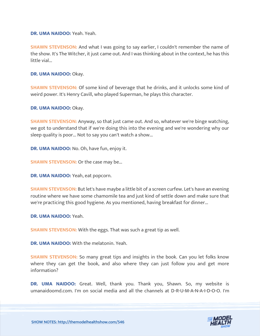**DR. UMA NAIDOO:** Yeah. Yeah.

**SHAWN STEVENSON:** And what I was going to say earlier, I couldn't remember the name of the show. It's The Witcher, it just came out. And I was thinking about in the context, he has this little vial...

**DR. UMA NAIDOO:** Okay.

**SHAWN STEVENSON:** Of some kind of beverage that he drinks, and it unlocks some kind of weird power. It's Henry Cavill, who played Superman, he plays this character.

**DR. UMA NAIDOO:** Okay.

**SHAWN STEVENSON:** Anyway, so that just came out. And so, whatever we're binge watching, we got to understand that if we're doing this into the evening and we're wondering why our sleep quality is poor... Not to say you can't watch a show...

**DR. UMA NAIDOO:** No. Oh, have fun, enjoy it.

**SHAWN STEVENSON:** Or the case may be...

**DR. UMA NAIDOO:** Yeah, eat popcorn.

**SHAWN STEVENSON:** But let's have maybe a little bit of a screen curfew. Let's have an evening routine where we have some chamomile tea and just kind of settle down and make sure that we're practicing this good hygiene. As you mentioned, having breakfast for dinner...

**DR. UMA NAIDOO:** Yeah.

**SHAWN STEVENSON:** With the eggs. That was such a great tip as well.

**DR. UMA NAIDOO:** With the melatonin. Yeah.

**SHAWN STEVENSON:** So many great tips and insights in the book. Can you let folks know where they can get the book, and also where they can just follow you and get more information?

**DR. UMA NAIDOO:** Great. Well, thank you. Thank you, Shawn. So, my website is umanaidoomd.com. I'm on social media and all the channels at D-R-U-M-A-N-A-I-D-O-O. I'm

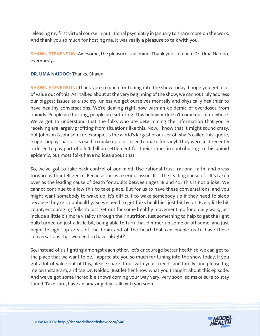releasing my first virtual course in nutritional psychiatry in January to share more on the work. And thank you so much for hosting me. It was really a pleasure to talk with you.

**SHAWN STEVENSON:** Awesome, the pleasure is all mine. Thank you so much. Dr. Uma Naidoo, everybody.

**DR. UMA NAIDOO:** Thanks, Shawn.

**SHAWN STEVENSON:** Thank you so much for tuning into the show today. I hope you get a lot of value out of this. As I talked about at the very beginning of the show, we cannot truly address our biggest issues as a society, unless we get ourselves mentally and physically healthier to have healthy conversations. We're dealing right now with an epidemic of overdoses from opioids. People are hurting, people are suffering. This behavior doesn't come out of nowhere. We've got to understand that the folks who are determining the information that you're receiving are largely profiting from situations like this. Now, I know that it might sound crazy, but Johnson & Johnson, for example, is the world's largest producer of what's called this, quote, "super poppy" narcotics used to make opioids, used to make fentanyl. They were just recently ordered to pay part of a \$26 billion settlement for their crimes in contributing to this opioid epidemic, but most folks have no idea about that.

So, we've got to take back control of our mind. Use rational trust, rational faith, and press forward with intelligence. Because this is a serious issue. It is the leading cause of... It's taken over as the leading cause of death for adults between ages 18 and 45. This is not a joke. We cannot continue to allow this to take place. But for us to have these conversations, and you might want somebody to wake up. It's difficult to wake somebody up if they need to sleep because they're so unhealthy. So we need to get folks healthier just bit by bit. Every little bit count, encouraging folks to just get out for some healthy movement, go for a daily walk, just include a little bit more vitality through their nutrition. Just something to help to get the light bulb turned on just a little bit, being able to turn that dimmer up some or off some, and just begin to light up areas of the brain and of the heart that can enable us to have these conversations that we need to have, alright?

So, instead of us fighting amongst each other, let's encourage better health so we can get to the place that we want to be. I appreciate you so much for tuning into the show today. If you got a lot of value out of this, please share it out with your friends and family, and please tag me on Instagram, and tag Dr. Naidoo. Just let her know what you thought about this episode. And we've got some incredible shows coming your way very, very soon, so make sure to stay tuned. Take care, have an amazing day, talk with you soon.